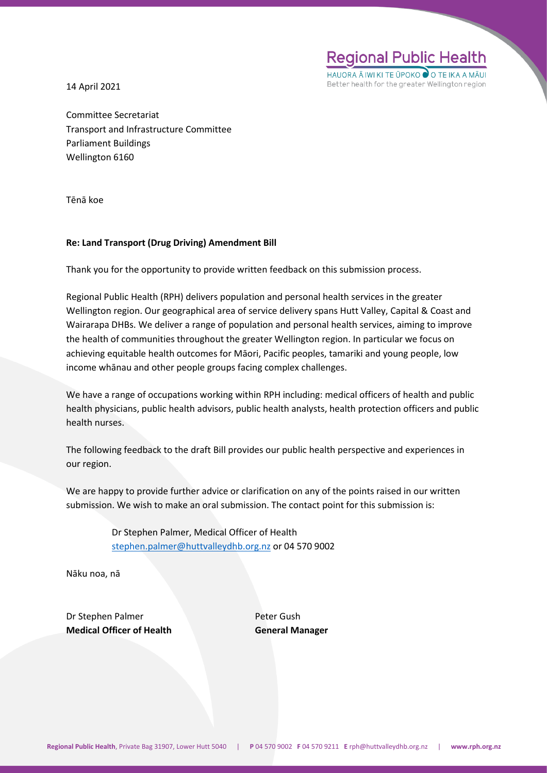14 April 2021

**Regional Public Health** HAUORA Ā IWI KI TE ŪPOKO ● O TE IKA A MĀUI Better health for the greater Wellington region

Committee Secretariat Transport and Infrastructure Committee Parliament Buildings Wellington 6160

Tēnā koe

#### **Re: Land Transport (Drug Driving) Amendment Bill**

Thank you for the opportunity to provide written feedback on this submission process.

Regional Public Health (RPH) delivers population and personal health services in the greater Wellington region. Our geographical area of service delivery spans Hutt Valley, Capital & Coast and Wairarapa DHBs. We deliver a range of population and personal health services, aiming to improve the health of communities throughout the greater Wellington region. In particular we focus on achieving equitable health outcomes for Māori, Pacific peoples, tamariki and young people, low income whānau and other people groups facing complex challenges.

We have a range of occupations working within RPH including: medical officers of health and public health physicians, public health advisors, public health analysts, health protection officers and public health nurses.

The following feedback to the draft Bill provides our public health perspective and experiences in our region.

We are happy to provide further advice or clarification on any of the points raised in our written submission. We wish to make an oral submission. The contact point for this submission is:

> Dr Stephen Palmer, Medical Officer of Health [stephen.palmer@huttvalleydhb.org.nz](mailto:stephen.palmer@huttvalleydhb.org.nz) or 04 570 9002

Nāku noa, nā

Dr Stephen Palmer Peter Gush **Medical Officer of Health General Manager**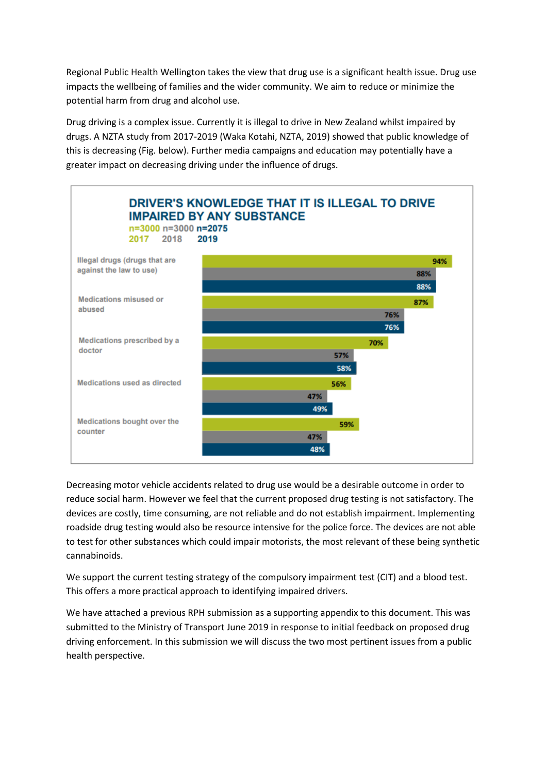Regional Public Health Wellington takes the view that drug use is a significant health issue. Drug use impacts the wellbeing of families and the wider community. We aim to reduce or minimize the potential harm from drug and alcohol use.

Drug driving is a complex issue. Currently it is illegal to drive in New Zealand whilst impaired by drugs. A NZTA study from 2017-2019 (Waka Kotahi, NZTA, 2019) showed that public knowledge of this is decreasing (Fig. below). Further media campaigns and education may potentially have a greater impact on decreasing driving under the influence of drugs.



Decreasing motor vehicle accidents related to drug use would be a desirable outcome in order to reduce social harm. However we feel that the current proposed drug testing is not satisfactory. The devices are costly, time consuming, are not reliable and do not establish impairment. Implementing roadside drug testing would also be resource intensive for the police force. The devices are not able to test for other substances which could impair motorists, the most relevant of these being synthetic cannabinoids.

We support the current testing strategy of the compulsory impairment test (CIT) and a blood test. This offers a more practical approach to identifying impaired drivers.

We have attached a previous RPH submission as a supporting appendix to this document. This was submitted to the Ministry of Transport June 2019 in response to initial feedback on proposed drug driving enforcement. In this submission we will discuss the two most pertinent issues from a public health perspective.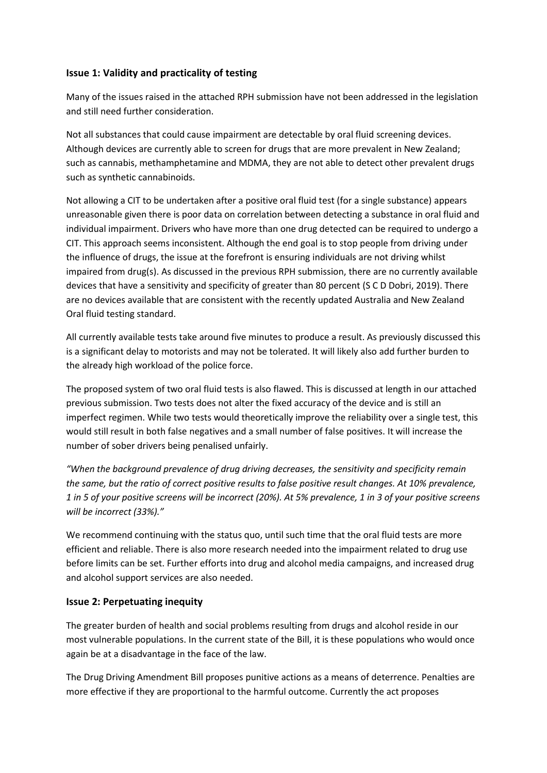### **Issue 1: Validity and practicality of testing**

Many of the issues raised in the attached RPH submission have not been addressed in the legislation and still need further consideration.

Not all substances that could cause impairment are detectable by oral fluid screening devices. Although devices are currently able to screen for drugs that are more prevalent in New Zealand; such as cannabis, methamphetamine and MDMA, they are not able to detect other prevalent drugs such as synthetic cannabinoids.

Not allowing a CIT to be undertaken after a positive oral fluid test (for a single substance) appears unreasonable given there is poor data on correlation between detecting a substance in oral fluid and individual impairment. Drivers who have more than one drug detected can be required to undergo a CIT. This approach seems inconsistent. Although the end goal is to stop people from driving under the influence of drugs, the issue at the forefront is ensuring individuals are not driving whilst impaired from drug(s). As discussed in the previous RPH submission, there are no currently available devices that have a sensitivity and specificity of greater than 80 percent (S C D Dobri, 2019). There are no devices available that are consistent with the recently updated Australia and New Zealand Oral fluid testing standard.

All currently available tests take around five minutes to produce a result. As previously discussed this is a significant delay to motorists and may not be tolerated. It will likely also add further burden to the already high workload of the police force.

The proposed system of two oral fluid tests is also flawed. This is discussed at length in our attached previous submission. Two tests does not alter the fixed accuracy of the device and is still an imperfect regimen. While two tests would theoretically improve the reliability over a single test, this would still result in both false negatives and a small number of false positives. It will increase the number of sober drivers being penalised unfairly.

*"When the background prevalence of drug driving decreases, the sensitivity and specificity remain the same, but the ratio of correct positive results to false positive result changes. At 10% prevalence, 1 in 5 of your positive screens will be incorrect (20%). At 5% prevalence, 1 in 3 of your positive screens will be incorrect (33%)."*

We recommend continuing with the status quo, until such time that the oral fluid tests are more efficient and reliable. There is also more research needed into the impairment related to drug use before limits can be set. Further efforts into drug and alcohol media campaigns, and increased drug and alcohol support services are also needed.

### **Issue 2: Perpetuating inequity**

The greater burden of health and social problems resulting from drugs and alcohol reside in our most vulnerable populations. In the current state of the Bill, it is these populations who would once again be at a disadvantage in the face of the law.

The Drug Driving Amendment Bill proposes punitive actions as a means of deterrence. Penalties are more effective if they are proportional to the harmful outcome. Currently the act proposes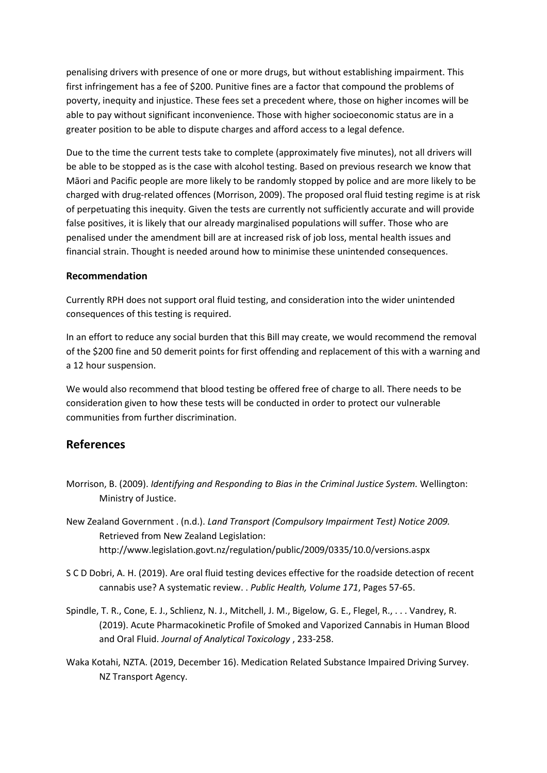penalising drivers with presence of one or more drugs, but without establishing impairment. This first infringement has a fee of \$200. Punitive fines are a factor that compound the problems of poverty, inequity and injustice. These fees set a precedent where, those on higher incomes will be able to pay without significant inconvenience. Those with higher socioeconomic status are in a greater position to be able to dispute charges and afford access to a legal defence.

Due to the time the current tests take to complete (approximately five minutes), not all drivers will be able to be stopped as is the case with alcohol testing. Based on previous research we know that Māori and Pacific people are more likely to be randomly stopped by police and are more likely to be charged with drug-related offences (Morrison, 2009). The proposed oral fluid testing regime is at risk of perpetuating this inequity. Given the tests are currently not sufficiently accurate and will provide false positives, it is likely that our already marginalised populations will suffer. Those who are penalised under the amendment bill are at increased risk of job loss, mental health issues and financial strain. Thought is needed around how to minimise these unintended consequences.

#### **Recommendation**

Currently RPH does not support oral fluid testing, and consideration into the wider unintended consequences of this testing is required.

In an effort to reduce any social burden that this Bill may create, we would recommend the removal of the \$200 fine and 50 demerit points for first offending and replacement of this with a warning and a 12 hour suspension.

We would also recommend that blood testing be offered free of charge to all. There needs to be consideration given to how these tests will be conducted in order to protect our vulnerable communities from further discrimination.

## **References**

- Morrison, B. (2009). *Identifying and Responding to Bias in the Criminal Justice System.* Wellington: Ministry of Justice.
- New Zealand Government . (n.d.). *Land Transport (Compulsory Impairment Test) Notice 2009.* Retrieved from New Zealand Legislation: http://www.legislation.govt.nz/regulation/public/2009/0335/10.0/versions.aspx
- S C D Dobri, A. H. (2019). Are oral fluid testing devices effective for the roadside detection of recent cannabis use? A systematic review. . *Public Health, Volume 171*, Pages 57-65.
- Spindle, T. R., Cone, E. J., Schlienz, N. J., Mitchell, J. M., Bigelow, G. E., Flegel, R., . . . Vandrey, R. (2019). Acute Pharmacokinetic Profile of Smoked and Vaporized Cannabis in Human Blood and Oral Fluid. *Journal of Analytical Toxicology* , 233-258.
- Waka Kotahi, NZTA. (2019, December 16). Medication Related Substance Impaired Driving Survey. NZ Transport Agency.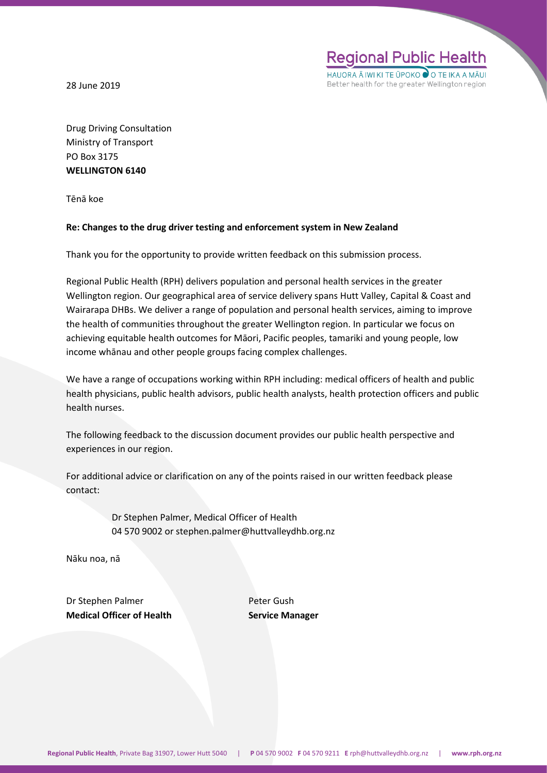28 June 2019

Better health for the greater Wellington region

Drug Driving Consultation Ministry of Transport PO Box 3175 **WELLINGTON 6140**

Tēnā koe

#### **Re: Changes to the drug driver testing and enforcement system in New Zealand**

Thank you for the opportunity to provide written feedback on this submission process.

Regional Public Health (RPH) delivers population and personal health services in the greater Wellington region. Our geographical area of service delivery spans Hutt Valley, Capital & Coast and Wairarapa DHBs. We deliver a range of population and personal health services, aiming to improve the health of communities throughout the greater Wellington region. In particular we focus on achieving equitable health outcomes for Māori, Pacific peoples, tamariki and young people, low income whānau and other people groups facing complex challenges.

We have a range of occupations working within RPH including: medical officers of health and public health physicians, public health advisors, public health analysts, health protection officers and public health nurses.

The following feedback to the discussion document provides our public health perspective and experiences in our region.

For additional advice or clarification on any of the points raised in our written feedback please contact:

> Dr Stephen Palmer, Medical Officer of Health 04 570 9002 or stephen.palmer@huttvalleydhb.org.nz

Nāku noa, nā

Dr Stephen Palmer Peter Gush **Medical Officer of Health Service Manager**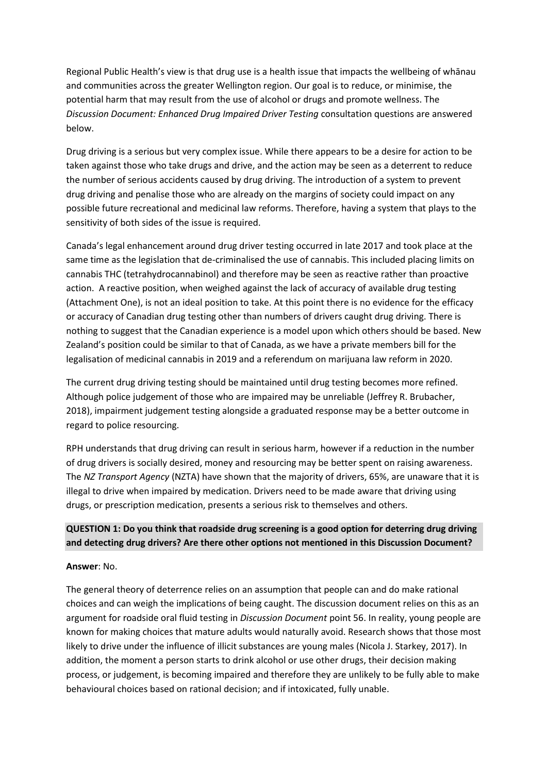Regional Public Health's view is that drug use is a health issue that impacts the wellbeing of whānau and communities across the greater Wellington region. Our goal is to reduce, or minimise, the potential harm that may result from the use of alcohol or drugs and promote wellness. The *Discussion Document: Enhanced Drug Impaired Driver Testing* consultation questions are answered below.

Drug driving is a serious but very complex issue. While there appears to be a desire for action to be taken against those who take drugs and drive, and the action may be seen as a deterrent to reduce the number of serious accidents caused by drug driving. The introduction of a system to prevent drug driving and penalise those who are already on the margins of society could impact on any possible future recreational and medicinal law reforms. Therefore, having a system that plays to the sensitivity of both sides of the issue is required.

Canada's legal enhancement around drug driver testing occurred in late 2017 and took place at the same time as the legislation that de-criminalised the use of cannabis. This included placing limits on cannabis THC (tetrahydrocannabinol) and therefore may be seen as reactive rather than proactive action. A reactive position, when weighed against the lack of accuracy of available drug testing (Attachment One), is not an ideal position to take. At this point there is no evidence for the efficacy or accuracy of Canadian drug testing other than numbers of drivers caught drug driving. There is nothing to suggest that the Canadian experience is a model upon which others should be based. New Zealand's position could be similar to that of Canada, as we have a private members bill for the legalisation of medicinal cannabis in 2019 and a referendum on marijuana law reform in 2020.

The current drug driving testing should be maintained until drug testing becomes more refined. Although police judgement of those who are impaired may be unreliable (Jeffrey R. Brubacher, 2018), impairment judgement testing alongside a graduated response may be a better outcome in regard to police resourcing.

RPH understands that drug driving can result in serious harm, however if a reduction in the number of drug drivers is socially desired, money and resourcing may be better spent on raising awareness. The *NZ Transport Agency* (NZTA) have shown that the majority of drivers, 65%, are unaware that it is illegal to drive when impaired by medication. Drivers need to be made aware that driving using drugs, or prescription medication, presents a serious risk to themselves and others.

## **QUESTION 1: Do you think that roadside drug screening is a good option for deterring drug driving and detecting drug drivers? Are there other options not mentioned in this Discussion Document?**

#### **Answer**: No.

The general theory of deterrence relies on an assumption that people can and do make rational choices and can weigh the implications of being caught. The discussion document relies on this as an argument for roadside oral fluid testing in *Discussion Document* point 56. In reality, young people are known for making choices that mature adults would naturally avoid. Research shows that those most likely to drive under the influence of illicit substances are young males (Nicola J. Starkey, 2017). In addition, the moment a person starts to drink alcohol or use other drugs, their decision making process, or judgement, is becoming impaired and therefore they are unlikely to be fully able to make behavioural choices based on rational decision; and if intoxicated, fully unable.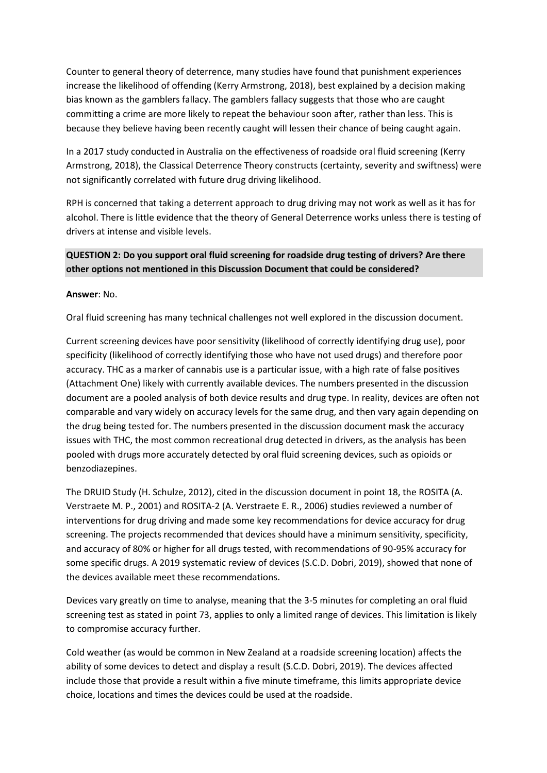Counter to general theory of deterrence, many studies have found that punishment experiences increase the likelihood of offending (Kerry Armstrong, 2018), best explained by a decision making bias known as the gamblers fallacy. The gamblers fallacy suggests that those who are caught committing a crime are more likely to repeat the behaviour soon after, rather than less. This is because they believe having been recently caught will lessen their chance of being caught again.

In a 2017 study conducted in Australia on the effectiveness of roadside oral fluid screening (Kerry Armstrong, 2018), the Classical Deterrence Theory constructs (certainty, severity and swiftness) were not significantly correlated with future drug driving likelihood.

RPH is concerned that taking a deterrent approach to drug driving may not work as well as it has for alcohol. There is little evidence that the theory of General Deterrence works unless there is testing of drivers at intense and visible levels.

## **QUESTION 2: Do you support oral fluid screening for roadside drug testing of drivers? Are there other options not mentioned in this Discussion Document that could be considered?**

#### **Answer**: No.

Oral fluid screening has many technical challenges not well explored in the discussion document.

Current screening devices have poor sensitivity (likelihood of correctly identifying drug use), poor specificity (likelihood of correctly identifying those who have not used drugs) and therefore poor accuracy. THC as a marker of cannabis use is a particular issue, with a high rate of false positives (Attachment One) likely with currently available devices. The numbers presented in the discussion document are a pooled analysis of both device results and drug type. In reality, devices are often not comparable and vary widely on accuracy levels for the same drug, and then vary again depending on the drug being tested for. The numbers presented in the discussion document mask the accuracy issues with THC, the most common recreational drug detected in drivers, as the analysis has been pooled with drugs more accurately detected by oral fluid screening devices, such as opioids or benzodiazepines.

The DRUID Study (H. Schulze, 2012), cited in the discussion document in point 18, the ROSITA (A. Verstraete M. P., 2001) and ROSITA-2 (A. Verstraete E. R., 2006) studies reviewed a number of interventions for drug driving and made some key recommendations for device accuracy for drug screening. The projects recommended that devices should have a minimum sensitivity, specificity, and accuracy of 80% or higher for all drugs tested, with recommendations of 90-95% accuracy for some specific drugs. A 2019 systematic review of devices (S.C.D. Dobri, 2019), showed that none of the devices available meet these recommendations.

Devices vary greatly on time to analyse, meaning that the 3-5 minutes for completing an oral fluid screening test as stated in point 73, applies to only a limited range of devices. This limitation is likely to compromise accuracy further.

Cold weather (as would be common in New Zealand at a roadside screening location) affects the ability of some devices to detect and display a result (S.C.D. Dobri, 2019). The devices affected include those that provide a result within a five minute timeframe, this limits appropriate device choice, locations and times the devices could be used at the roadside.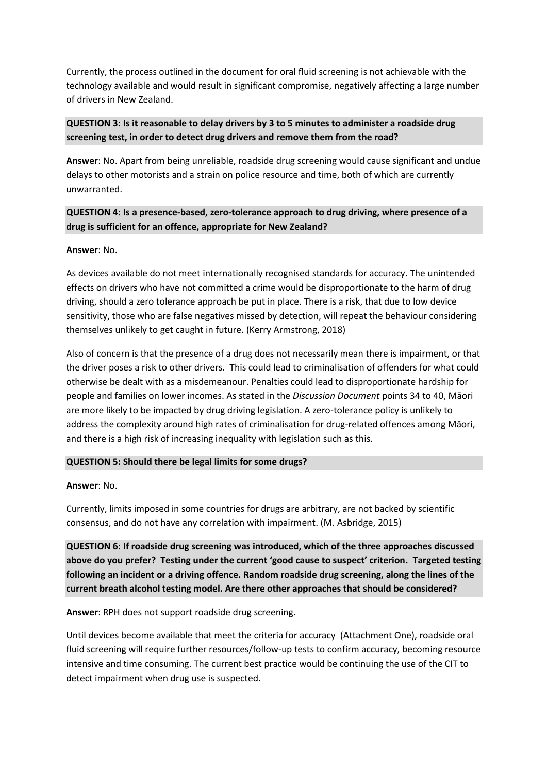Currently, the process outlined in the document for oral fluid screening is not achievable with the technology available and would result in significant compromise, negatively affecting a large number of drivers in New Zealand.

## **QUESTION 3: Is it reasonable to delay drivers by 3 to 5 minutes to administer a roadside drug screening test, in order to detect drug drivers and remove them from the road?**

**Answer**: No. Apart from being unreliable, roadside drug screening would cause significant and undue delays to other motorists and a strain on police resource and time, both of which are currently unwarranted.

## **QUESTION 4: Is a presence-based, zero-tolerance approach to drug driving, where presence of a drug is sufficient for an offence, appropriate for New Zealand?**

### **Answer**: No.

As devices available do not meet internationally recognised standards for accuracy. The unintended effects on drivers who have not committed a crime would be disproportionate to the harm of drug driving, should a zero tolerance approach be put in place. There is a risk, that due to low device sensitivity, those who are false negatives missed by detection, will repeat the behaviour considering themselves unlikely to get caught in future. (Kerry Armstrong, 2018)

Also of concern is that the presence of a drug does not necessarily mean there is impairment, or that the driver poses a risk to other drivers. This could lead to criminalisation of offenders for what could otherwise be dealt with as a misdemeanour. Penalties could lead to disproportionate hardship for people and families on lower incomes. As stated in the *Discussion Document* points 34 to 40, Māori are more likely to be impacted by drug driving legislation. A zero-tolerance policy is unlikely to address the complexity around high rates of criminalisation for drug-related offences among Māori, and there is a high risk of increasing inequality with legislation such as this.

### **QUESTION 5: Should there be legal limits for some drugs?**

#### **Answer**: No.

Currently, limits imposed in some countries for drugs are arbitrary, are not backed by scientific consensus, and do not have any correlation with impairment. (M. Asbridge, 2015)

**QUESTION 6: If roadside drug screening was introduced, which of the three approaches discussed above do you prefer? Testing under the current 'good cause to suspect' criterion. Targeted testing following an incident or a driving offence. Random roadside drug screening, along the lines of the current breath alcohol testing model. Are there other approaches that should be considered?**

#### **Answer**: RPH does not support roadside drug screening.

Until devices become available that meet the criteria for accuracy (Attachment One), roadside oral fluid screening will require further resources/follow-up tests to confirm accuracy, becoming resource intensive and time consuming. The current best practice would be continuing the use of the CIT to detect impairment when drug use is suspected.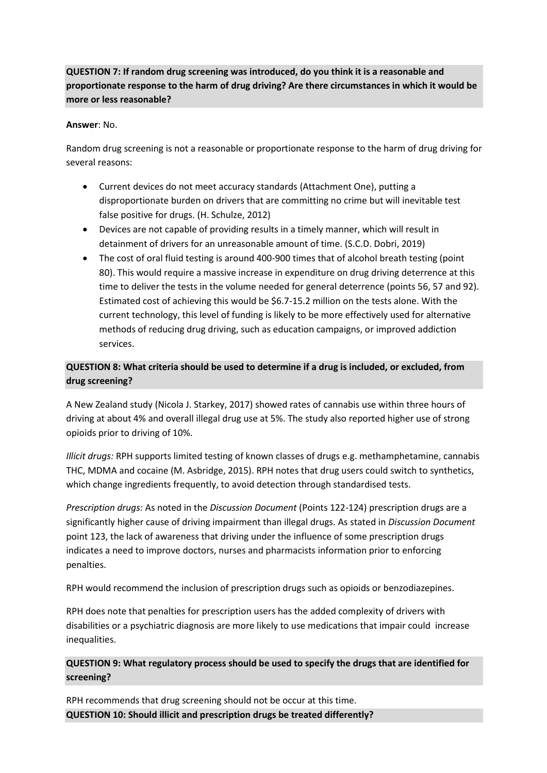## **QUESTION 7: If random drug screening was introduced, do you think it is a reasonable and proportionate response to the harm of drug driving? Are there circumstances in which it would be more or less reasonable?**

#### **Answer**: No.

Random drug screening is not a reasonable or proportionate response to the harm of drug driving for several reasons:

- Current devices do not meet accuracy standards (Attachment One), putting a disproportionate burden on drivers that are committing no crime but will inevitable test false positive for drugs. (H. Schulze, 2012)
- Devices are not capable of providing results in a timely manner, which will result in detainment of drivers for an unreasonable amount of time. (S.C.D. Dobri, 2019)
- The cost of oral fluid testing is around 400-900 times that of alcohol breath testing (point 80). This would require a massive increase in expenditure on drug driving deterrence at this time to deliver the tests in the volume needed for general deterrence (points 56, 57 and 92). Estimated cost of achieving this would be \$6.7-15.2 million on the tests alone. With the current technology, this level of funding is likely to be more effectively used for alternative methods of reducing drug driving, such as education campaigns, or improved addiction services.

## **QUESTION 8: What criteria should be used to determine if a drug is included, or excluded, from drug screening?**

A New Zealand study (Nicola J. Starkey, 2017) showed rates of cannabis use within three hours of driving at about 4% and overall illegal drug use at 5%. The study also reported higher use of strong opioids prior to driving of 10%.

*Illicit drugs:* RPH supports limited testing of known classes of drugs e.g. methamphetamine, cannabis THC, MDMA and cocaine (M. Asbridge, 2015). RPH notes that drug users could switch to synthetics, which change ingredients frequently, to avoid detection through standardised tests.

*Prescription drugs:* As noted in the *Discussion Document* (Points 122-124) prescription drugs are a significantly higher cause of driving impairment than illegal drugs. As stated in *Discussion Document*  point 123, the lack of awareness that driving under the influence of some prescription drugs indicates a need to improve doctors, nurses and pharmacists information prior to enforcing penalties.

RPH would recommend the inclusion of prescription drugs such as opioids or benzodiazepines.

RPH does note that penalties for prescription users has the added complexity of drivers with disabilities or a psychiatric diagnosis are more likely to use medications that impair could increase inequalities.

**QUESTION 9: What regulatory process should be used to specify the drugs that are identified for screening?** 

RPH recommends that drug screening should not be occur at this time. **QUESTION 10: Should illicit and prescription drugs be treated differently?**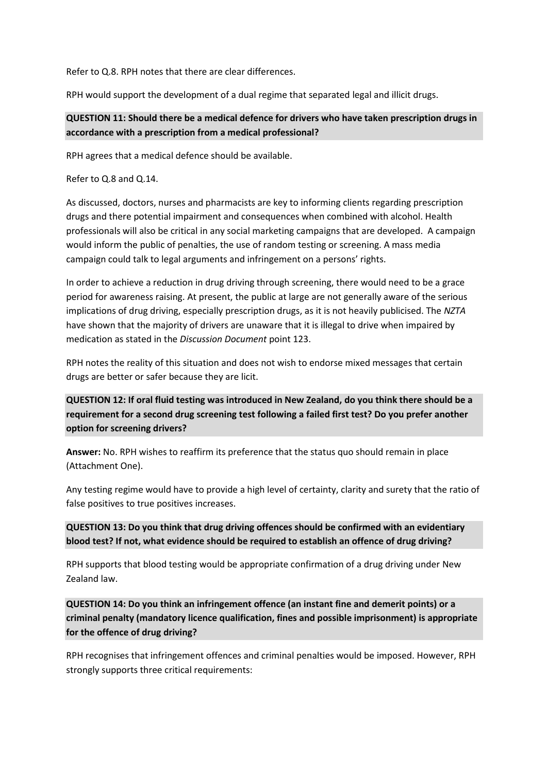Refer to Q.8. RPH notes that there are clear differences.

RPH would support the development of a dual regime that separated legal and illicit drugs.

### **QUESTION 11: Should there be a medical defence for drivers who have taken prescription drugs in accordance with a prescription from a medical professional?**

RPH agrees that a medical defence should be available.

Refer to Q.8 and Q.14.

As discussed, doctors, nurses and pharmacists are key to informing clients regarding prescription drugs and there potential impairment and consequences when combined with alcohol. Health professionals will also be critical in any social marketing campaigns that are developed. A campaign would inform the public of penalties, the use of random testing or screening. A mass media campaign could talk to legal arguments and infringement on a persons' rights.

In order to achieve a reduction in drug driving through screening, there would need to be a grace period for awareness raising. At present, the public at large are not generally aware of the serious implications of drug driving, especially prescription drugs, as it is not heavily publicised. The *NZTA* have shown that the majority of drivers are unaware that it is illegal to drive when impaired by medication as stated in the *Discussion Document* point 123.

RPH notes the reality of this situation and does not wish to endorse mixed messages that certain drugs are better or safer because they are licit.

**QUESTION 12: If oral fluid testing was introduced in New Zealand, do you think there should be a requirement for a second drug screening test following a failed first test? Do you prefer another option for screening drivers?** 

**Answer:** No. RPH wishes to reaffirm its preference that the status quo should remain in place (Attachment One).

Any testing regime would have to provide a high level of certainty, clarity and surety that the ratio of false positives to true positives increases.

**QUESTION 13: Do you think that drug driving offences should be confirmed with an evidentiary blood test? If not, what evidence should be required to establish an offence of drug driving?**

RPH supports that blood testing would be appropriate confirmation of a drug driving under New Zealand law.

**QUESTION 14: Do you think an infringement offence (an instant fine and demerit points) or a criminal penalty (mandatory licence qualification, fines and possible imprisonment) is appropriate for the offence of drug driving?** 

RPH recognises that infringement offences and criminal penalties would be imposed. However, RPH strongly supports three critical requirements: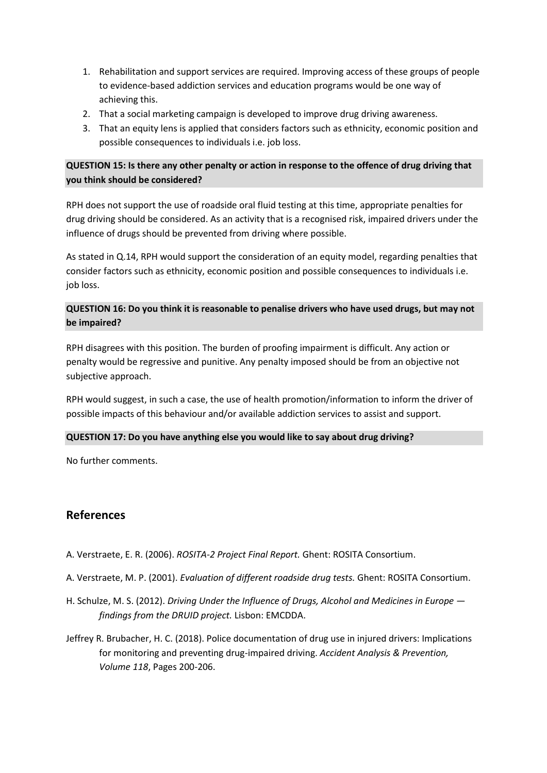- 1. Rehabilitation and support services are required. Improving access of these groups of people to evidence-based addiction services and education programs would be one way of achieving this.
- 2. That a social marketing campaign is developed to improve drug driving awareness.
- 3. That an equity lens is applied that considers factors such as ethnicity, economic position and possible consequences to individuals i.e. job loss.

## **QUESTION 15: Is there any other penalty or action in response to the offence of drug driving that you think should be considered?**

RPH does not support the use of roadside oral fluid testing at this time, appropriate penalties for drug driving should be considered. As an activity that is a recognised risk, impaired drivers under the influence of drugs should be prevented from driving where possible.

As stated in Q.14, RPH would support the consideration of an equity model, regarding penalties that consider factors such as ethnicity, economic position and possible consequences to individuals i.e. job loss.

## **QUESTION 16: Do you think it is reasonable to penalise drivers who have used drugs, but may not be impaired?**

RPH disagrees with this position. The burden of proofing impairment is difficult. Any action or penalty would be regressive and punitive. Any penalty imposed should be from an objective not subjective approach.

RPH would suggest, in such a case, the use of health promotion/information to inform the driver of possible impacts of this behaviour and/or available addiction services to assist and support.

### **QUESTION 17: Do you have anything else you would like to say about drug driving?**

No further comments.

## **References**

- A. Verstraete, E. R. (2006). *ROSITA-2 Project Final Report.* Ghent: ROSITA Consortium.
- A. Verstraete, M. P. (2001). *Evaluation of different roadside drug tests.* Ghent: ROSITA Consortium.
- H. Schulze, M. S. (2012). *Driving Under the Influence of Drugs, Alcohol and Medicines in Europe findings from the DRUID project.* Lisbon: EMCDDA.
- Jeffrey R. Brubacher, H. C. (2018). Police documentation of drug use in injured drivers: Implications for monitoring and preventing drug-impaired driving. *Accident Analysis & Prevention, Volume 118*, Pages 200-206.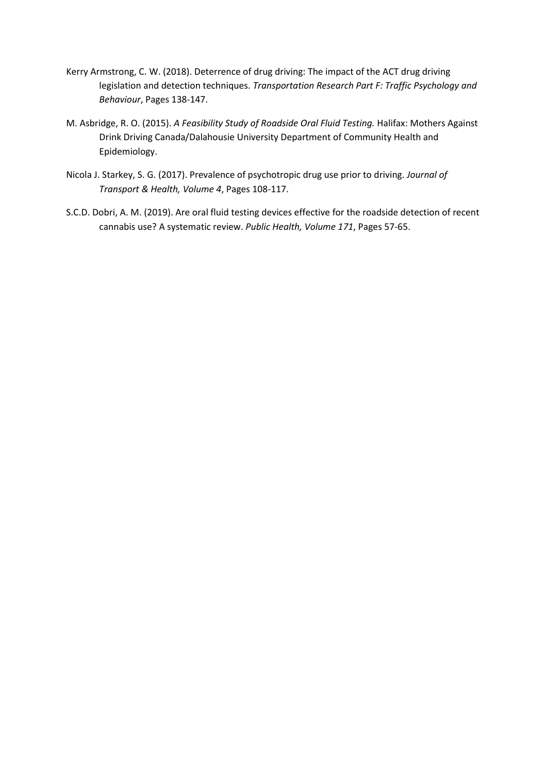- Kerry Armstrong, C. W. (2018). Deterrence of drug driving: The impact of the ACT drug driving legislation and detection techniques. *Transportation Research Part F: Traffic Psychology and Behaviour*, Pages 138-147.
- M. Asbridge, R. O. (2015). *A Feasibility Study of Roadside Oral Fluid Testing.* Halifax: Mothers Against Drink Driving Canada/Dalahousie University Department of Community Health and Epidemiology.
- Nicola J. Starkey, S. G. (2017). Prevalence of psychotropic drug use prior to driving. *Journal of Transport & Health, Volume 4*, Pages 108-117.
- S.C.D. Dobri, A. M. (2019). Are oral fluid testing devices effective for the roadside detection of recent cannabis use? A systematic review. *Public Health, Volume 171*, Pages 57-65.